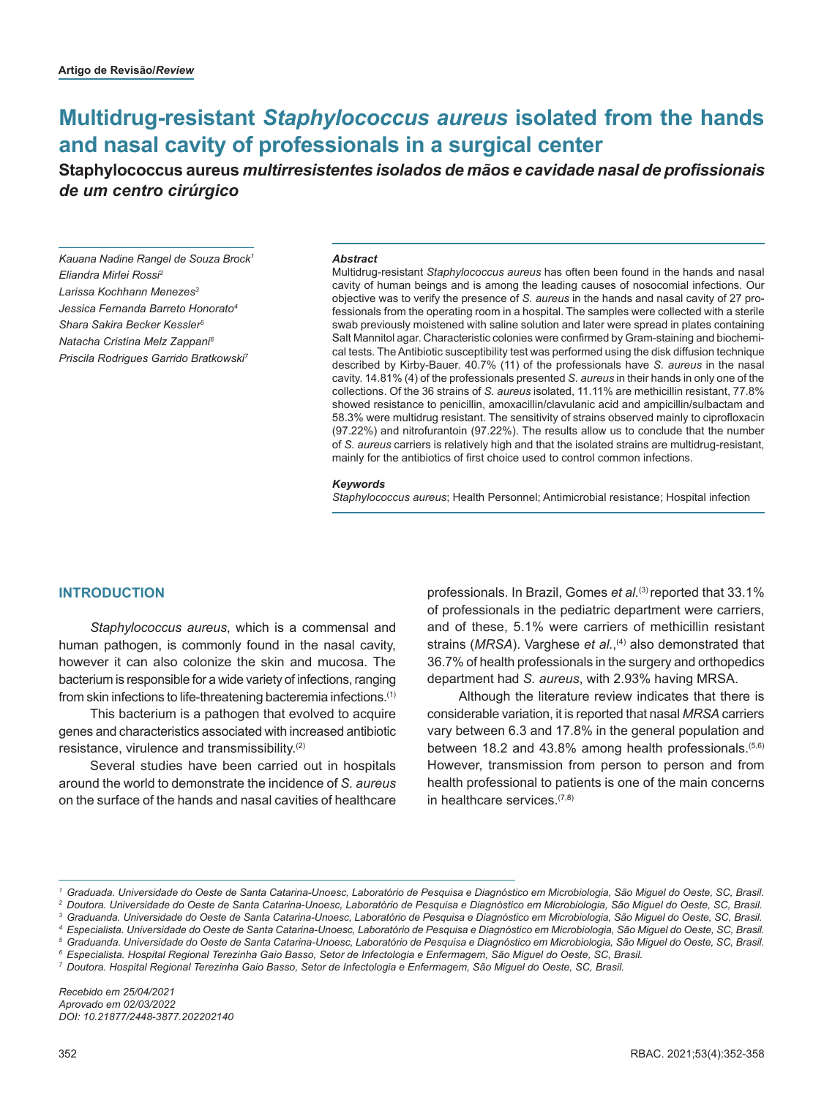# **Multidrug-resistant** *Staphylococcus aureus* **isolated from the hands and nasal cavity of professionals in a surgical center**

## **Staphylococcus aureus** *multirresistentes isolados de mãos e cavidade nasal de profissionais de um centro cirúrgico*

*Kauana Nadine Rangel de Souza Brock1 Eliandra Mirlei Rossi2 Larissa Kochhann Menezes3 Jessica Fernanda Barreto Honorato4 Shara Sakira Becker Kessler5 Natacha Cristina Melz Zappani6 Priscila Rodrigues Garrido Bratkowski7*

#### *Abstract*

Multidrug-resistant *Staphylococcus aureus* has often been found in the hands and nasal cavity of human beings and is among the leading causes of nosocomial infections. Our objective was to verify the presence of *S. aureus* in the hands and nasal cavity of 27 professionals from the operating room in a hospital. The samples were collected with a sterile swab previously moistened with saline solution and later were spread in plates containing Salt Mannitol agar. Characteristic colonies were confirmed by Gram-staining and biochemical tests. The Antibiotic susceptibility test was performed using the disk diffusion technique described by Kirby-Bauer. 40.7% (11) of the professionals have *S. aureus* in the nasal cavity. 14.81% (4) of the professionals presented *S. aureus* in their hands in only one of the collections. Of the 36 strains of *S. aureus* isolated, 11.11% are methicillin resistant, 77.8% showed resistance to penicillin, amoxacillin/clavulanic acid and ampicillin/sulbactam and 58.3% were multidrug resistant. The sensitivity of strains observed mainly to ciprofloxacin (97.22%) and nitrofurantoin (97.22%). The results allow us to conclude that the number of *S. aureus* carriers is relatively high and that the isolated strains are multidrug-resistant, mainly for the antibiotics of first choice used to control common infections.

#### *Keywords*

*Staphylococcus aureus*; Health Personnel; Antimicrobial resistance; Hospital infection

#### **INTRODUCTION**

*Staphylococcus aureus*, which is a commensal and human pathogen, is commonly found in the nasal cavity, however it can also colonize the skin and mucosa. The bacterium is responsible for a wide variety of infections, ranging from skin infections to life-threatening bacteremia infections.(1)

This bacterium is a pathogen that evolved to acquire genes and characteristics associated with increased antibiotic resistance, virulence and transmissibility.(2)

Several studies have been carried out in hospitals around the world to demonstrate the incidence of *S. aureus* on the surface of the hands and nasal cavities of healthcare

professionals. In Brazil, Gomes *et al.*<sup>(3)</sup> reported that 33.1% of professionals in the pediatric department were carriers, and of these, 5.1% were carriers of methicillin resistant strains (*MRSA*). Varghese *et al.*,<sup>(4)</sup> also demonstrated that 36.7% of health professionals in the surgery and orthopedics department had *S. aureus*, with 2.93% having MRSA.

Although the literature review indicates that there is considerable variation, it is reported that nasal *MRSA* carriers vary between 6.3 and 17.8% in the general population and between 18.2 and 43.8% among health professionals.<sup>(5,6)</sup> However, transmission from person to person and from health professional to patients is one of the main concerns in healthcare services.(7,8)

*Recebido em 25/04/2021 Aprovado em 02/03/2022 DOI: 10.21877/2448-3877.202202140*

*<sup>1</sup> Graduada. Universidade do Oeste de Santa Catarina-Unoesc, Laboratório de Pesquisa e Diagnóstico em Microbiologia, São Miguel do Oeste, SC, Brasil.*

*<sup>2</sup> Doutora. Universidade do Oeste de Santa Catarina-Unoesc, Laboratório de Pesquisa e Diagnóstico em Microbiologia, São Miguel do Oeste, SC, Brasil.*

*<sup>3</sup> Graduanda. Universidade do Oeste de Santa Catarina-Unoesc, Laboratório de Pesquisa e Diagnóstico em Microbiologia, São Miguel do Oeste, SC, Brasil.*

*<sup>4</sup> Especialista. Universidade do Oeste de Santa Catarina-Unoesc, Laboratório de Pesquisa e Diagnóstico em Microbiologia, São Miguel do Oeste, SC, Brasil.*

*<sup>5</sup> Graduanda. Universidade do Oeste de Santa Catarina-Unoesc, Laboratório de Pesquisa e Diagnóstico em Microbiologia, São Miguel do Oeste, SC, Brasil. <sup>6</sup> Especialista. Hospital Regional Terezinha Gaio Basso, Setor de Infectologia e Enfermagem, São Miguel do Oeste, SC, Brasil.*

*<sup>7</sup> Doutora. Hospital Regional Terezinha Gaio Basso, Setor de Infectologia e Enfermagem, São Miguel do Oeste, SC, Brasil.*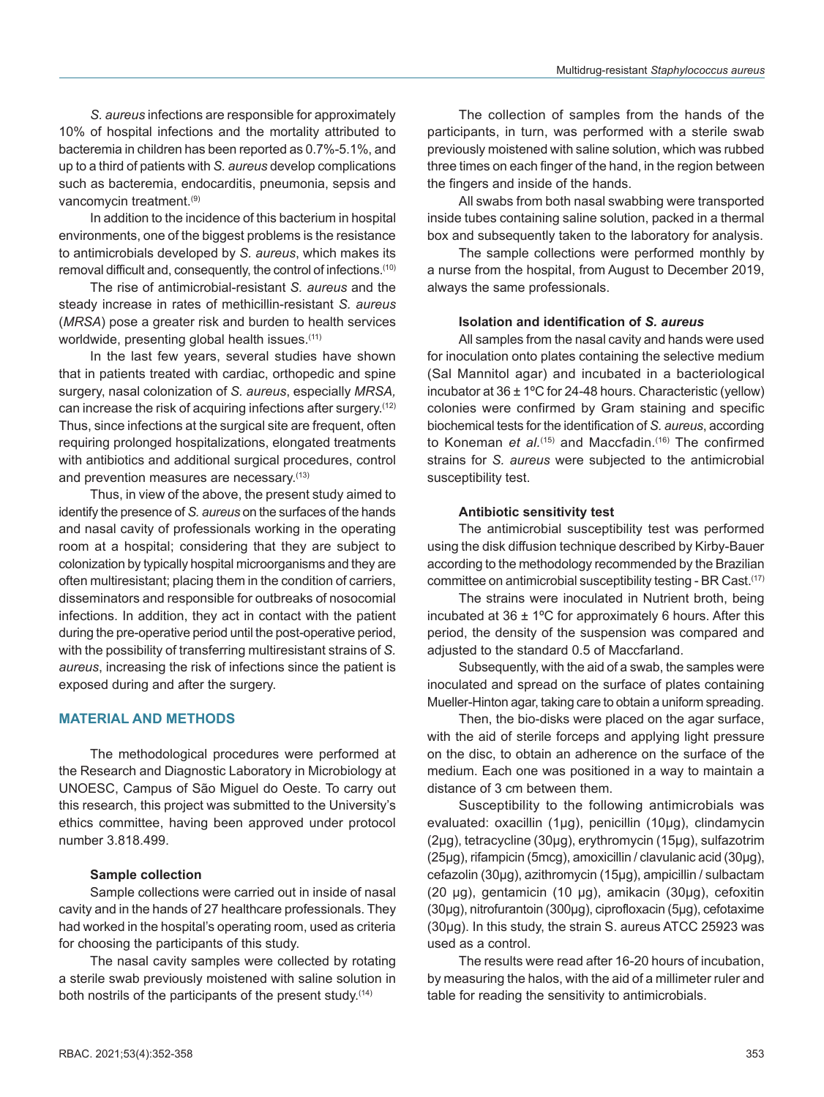*S. aureus* infections are responsible for approximately 10% of hospital infections and the mortality attributed to bacteremia in children has been reported as 0.7%-5.1%, and up to a third of patients with *S. aureus* develop complications such as bacteremia, endocarditis, pneumonia, sepsis and vancomycin treatment.<sup>(9)</sup>

In addition to the incidence of this bacterium in hospital environments, one of the biggest problems is the resistance to antimicrobials developed by *S. aureus*, which makes its removal difficult and, consequently, the control of infections.(10)

The rise of antimicrobial-resistant *S. aureus* and the steady increase in rates of methicillin-resistant *S. aureus* (*MRSA*) pose a greater risk and burden to health services worldwide, presenting global health issues.<sup>(11)</sup>

In the last few years, several studies have shown that in patients treated with cardiac, orthopedic and spine surgery, nasal colonization of *S. aureus*, especially *MRSA,* can increase the risk of acquiring infections after surgery.(12) Thus, since infections at the surgical site are frequent, often requiring prolonged hospitalizations, elongated treatments with antibiotics and additional surgical procedures, control and prevention measures are necessary.<sup>(13)</sup>

Thus, in view of the above, the present study aimed to identify the presence of *S. aureus* on the surfaces of the hands and nasal cavity of professionals working in the operating room at a hospital; considering that they are subject to colonization by typically hospital microorganisms and they are often multiresistant; placing them in the condition of carriers, disseminators and responsible for outbreaks of nosocomial infections. In addition, they act in contact with the patient during the pre-operative period until the post-operative period, with the possibility of transferring multiresistant strains of *S. aureus*, increasing the risk of infections since the patient is exposed during and after the surgery.

## **MATERIAL AND METHODS**

The methodological procedures were performed at the Research and Diagnostic Laboratory in Microbiology at UNOESC, Campus of São Miguel do Oeste. To carry out this research, this project was submitted to the University's ethics committee, having been approved under protocol number 3.818.499.

## **Sample collection**

Sample collections were carried out in inside of nasal cavity and in the hands of 27 healthcare professionals. They had worked in the hospital's operating room, used as criteria for choosing the participants of this study.

The nasal cavity samples were collected by rotating a sterile swab previously moistened with saline solution in both nostrils of the participants of the present study.<sup>(14)</sup>

The collection of samples from the hands of the participants, in turn, was performed with a sterile swab previously moistened with saline solution, which was rubbed three times on each finger of the hand, in the region between the fingers and inside of the hands.

All swabs from both nasal swabbing were transported inside tubes containing saline solution, packed in a thermal box and subsequently taken to the laboratory for analysis.

The sample collections were performed monthly by a nurse from the hospital, from August to December 2019, always the same professionals.

#### **Isolation and identification of** *S. aureus*

All samples from the nasal cavity and hands were used for inoculation onto plates containing the selective medium (Sal Mannitol agar) and incubated in a bacteriological incubator at  $36 \pm 1^{\circ}$ C for 24-48 hours. Characteristic (yellow) colonies were confirmed by Gram staining and specific biochemical tests for the identification of *S. aureus*, according to Koneman *et al.*<sup>(15)</sup> and Maccfadin.<sup>(16)</sup> The confirmed strains for *S. aureus* were subjected to the antimicrobial susceptibility test.

#### **Antibiotic sensitivity test**

The antimicrobial susceptibility test was performed using the disk diffusion technique described by Kirby-Bauer according to the methodology recommended by the Brazilian committee on antimicrobial susceptibility testing - BR Cast.(17)

The strains were inoculated in Nutrient broth, being incubated at 36  $\pm$  1°C for approximately 6 hours. After this period, the density of the suspension was compared and adjusted to the standard 0.5 of Maccfarland.

Subsequently, with the aid of a swab, the samples were inoculated and spread on the surface of plates containing Mueller-Hinton agar, taking care to obtain a uniform spreading.

Then, the bio-disks were placed on the agar surface, with the aid of sterile forceps and applying light pressure on the disc, to obtain an adherence on the surface of the medium. Each one was positioned in a way to maintain a distance of 3 cm between them.

Susceptibility to the following antimicrobials was evaluated: oxacillin (1µg), penicillin (10µg), clindamycin (2µg), tetracycline (30µg), erythromycin (15µg), sulfazotrim (25µg), rifampicin (5mcg), amoxicillin / clavulanic acid (30µg), cefazolin (30µg), azithromycin (15µg), ampicillin / sulbactam (20  $\mu$ g), gentamicin (10  $\mu$ g), amikacin (30 $\mu$ g), cefoxitin (30µg), nitrofurantoin (300µg), ciprofloxacin (5µg), cefotaxime (30µg). In this study, the strain S. aureus ATCC 25923 was used as a control.

The results were read after 16-20 hours of incubation, by measuring the halos, with the aid of a millimeter ruler and table for reading the sensitivity to antimicrobials.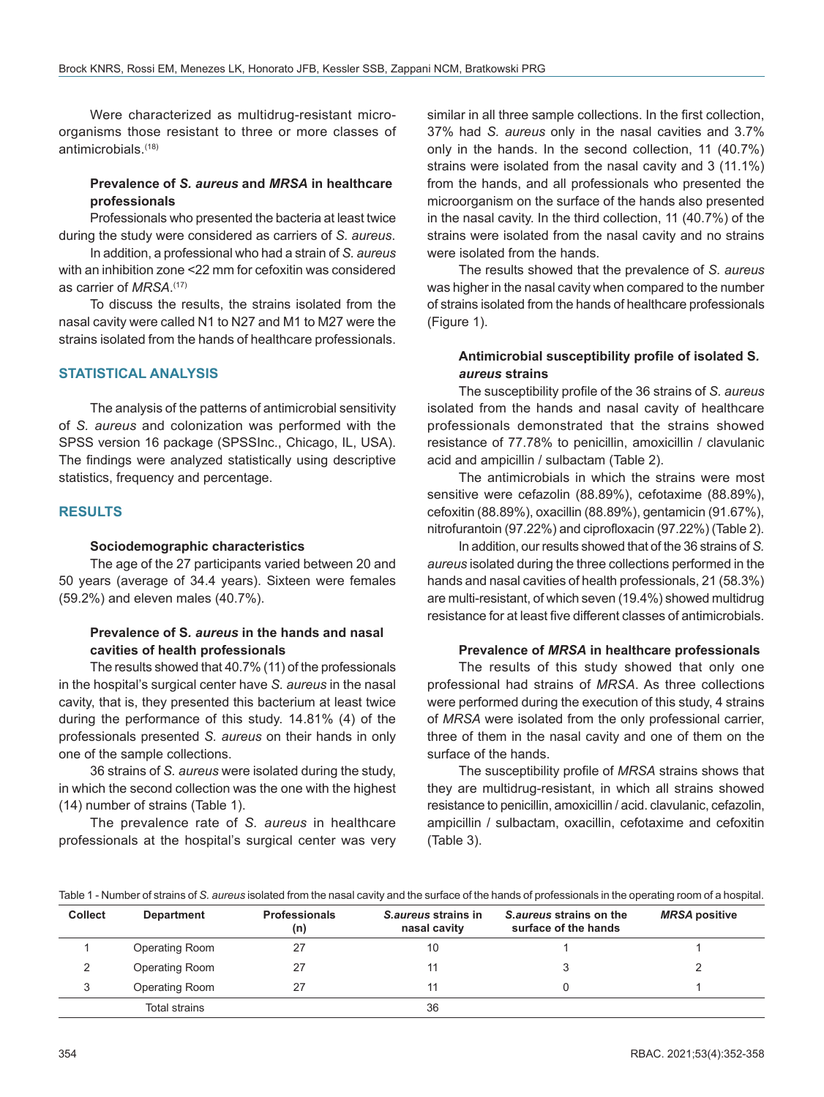Were characterized as multidrug-resistant microorganisms those resistant to three or more classes of antimicrobials.(18)

#### **Prevalence of** *S. aureus* **and** *MRSA* **in healthcare professionals**

Professionals who presented the bacteria at least twice during the study were considered as carriers of *S. aureus*.

In addition, a professional who had a strain of *S. aureus* with an inhibition zone <22 mm for cefoxitin was considered as carrier of *MRSA*. (17)

To discuss the results, the strains isolated from the nasal cavity were called N1 to N27 and M1 to M27 were the strains isolated from the hands of healthcare professionals.

## **STATISTICAL ANALYSIS**

The analysis of the patterns of antimicrobial sensitivity of *S. aureus* and colonization was performed with the SPSS version 16 package (SPSSInc., Chicago, IL, USA). The findings were analyzed statistically using descriptive statistics, frequency and percentage.

#### **RESULTS**

#### **Sociodemographic characteristics**

The age of the 27 participants varied between 20 and 50 years (average of 34.4 years). Sixteen were females (59.2%) and eleven males (40.7%).

## **Prevalence of S***. aureus* **in the hands and nasal cavities of health professionals**

The results showed that 40.7% (11) of the professionals in the hospital's surgical center have *S. aureus* in the nasal cavity, that is, they presented this bacterium at least twice during the performance of this study. 14.81% (4) of the professionals presented *S. aureus* on their hands in only one of the sample collections.

36 strains of *S. aureus* were isolated during the study, in which the second collection was the one with the highest (14) number of strains (Table 1).

The prevalence rate of *S. aureus* in healthcare professionals at the hospital's surgical center was very

similar in all three sample collections. In the first collection, 37% had *S. aureus* only in the nasal cavities and 3.7% only in the hands. In the second collection, 11 (40.7%) strains were isolated from the nasal cavity and 3 (11.1%) from the hands, and all professionals who presented the microorganism on the surface of the hands also presented in the nasal cavity. In the third collection, 11 (40.7%) of the strains were isolated from the nasal cavity and no strains were isolated from the hands.

The results showed that the prevalence of *S. aureus* was higher in the nasal cavity when compared to the number of strains isolated from the hands of healthcare professionals (Figure 1).

## **Antimicrobial susceptibility profile of isolated S***. aureus* **strains**

The susceptibility profile of the 36 strains of *S. aureus* isolated from the hands and nasal cavity of healthcare professionals demonstrated that the strains showed resistance of 77.78% to penicillin, amoxicillin / clavulanic acid and ampicillin / sulbactam (Table 2).

The antimicrobials in which the strains were most sensitive were cefazolin (88.89%), cefotaxime (88.89%), cefoxitin (88.89%), oxacillin (88.89%), gentamicin (91.67%), nitrofurantoin (97.22%) and ciprofloxacin (97.22%) (Table 2).

In addition, our results showed that of the 36 strains of *S. aureus* isolated during the three collections performed in the hands and nasal cavities of health professionals, 21 (58.3%) are multi-resistant, of which seven (19.4%) showed multidrug resistance for at least five different classes of antimicrobials.

#### **Prevalence of** *MRSA* **in healthcare professionals**

The results of this study showed that only one professional had strains of *MRSA*. As three collections were performed during the execution of this study, 4 strains of *MRSA* were isolated from the only professional carrier, three of them in the nasal cavity and one of them on the surface of the hands.

The susceptibility profile of *MRSA* strains shows that they are multidrug-resistant, in which all strains showed resistance to penicillin, amoxicillin / acid. clavulanic, cefazolin, ampicillin / sulbactam, oxacillin, cefotaxime and cefoxitin (Table 3).

Table 1 - Number of strains of *S. aureus* isolated from the nasal cavity and the surface of the hands of professionals in the operating room of a hospital.

| <b>Collect</b> | <b>Department</b>    | <b>Professionals</b><br>(n) | S.aureus strains in<br>nasal cavity | S.aureus strains on the<br>surface of the hands | <b>MRSA positive</b> |
|----------------|----------------------|-----------------------------|-------------------------------------|-------------------------------------------------|----------------------|
|                | Operating Room       | 27                          | 10                                  |                                                 |                      |
|                | Operating Room       | 27                          |                                     |                                                 |                      |
| 3              | Operating Room       | 27                          |                                     |                                                 |                      |
|                | <b>Total strains</b> |                             | 36                                  |                                                 |                      |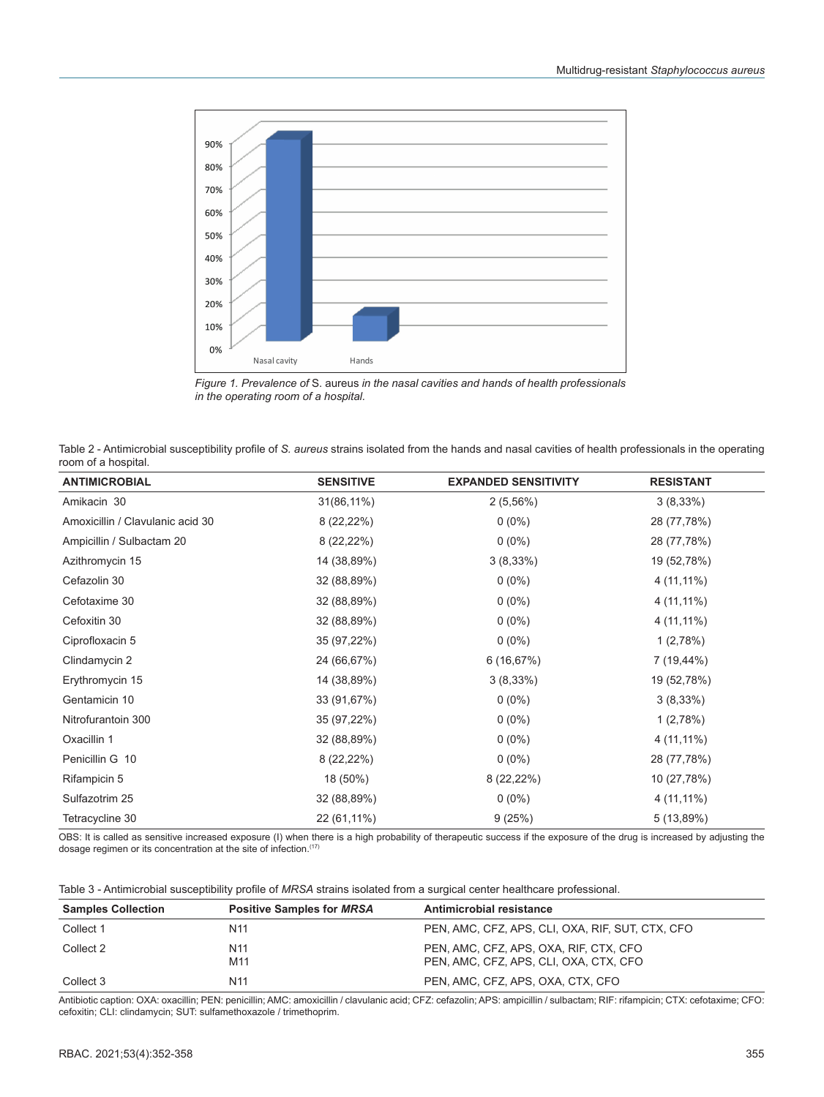



| Table 2 - Antimicrobial susceptibility profile of S. aureus strains isolated from the hands and nasal cavities of health professionals in the operating |  |
|---------------------------------------------------------------------------------------------------------------------------------------------------------|--|
| room of a hospital.                                                                                                                                     |  |

| <b>ANTIMICROBIAL</b>             | <b>SENSITIVE</b> | <b>EXPANDED SENSITIVITY</b> | <b>RESISTANT</b> |
|----------------------------------|------------------|-----------------------------|------------------|
| Amikacin 30                      | $31(86,11\%)$    | 2(5,56%)                    | $3(8,33\%)$      |
| Amoxicillin / Clavulanic acid 30 | $8(22,22\%)$     | $0(0\%)$                    | 28 (77,78%)      |
| Ampicillin / Sulbactam 20        | $8(22,22\%)$     | $0(0\%)$                    | 28 (77,78%)      |
| Azithromycin 15                  | 14 (38,89%)      | $3(8,33\%)$                 | 19 (52,78%)      |
| Cefazolin 30                     | 32 (88,89%)      | $0(0\%)$                    | 4 (11,11%)       |
| Cefotaxime 30                    | 32 (88,89%)      | $0(0\%)$                    | 4 (11,11%)       |
| Cefoxitin 30                     | 32 (88,89%)      | $0(0\%)$                    | 4 (11,11%)       |
| Ciprofloxacin 5                  | 35 (97,22%)      | $0(0\%)$                    | 1(2,78%)         |
| Clindamycin 2                    | 24 (66,67%)      | 6(16,67%)                   | 7 (19,44%)       |
| Erythromycin 15                  | 14 (38,89%)      | $3(8,33\%)$                 | 19 (52,78%)      |
| Gentamicin 10                    | 33 (91,67%)      | $0(0\%)$                    | $3(8,33\%)$      |
| Nitrofurantoin 300               | 35 (97,22%)      | $0(0\%)$                    | 1(2,78%)         |
| Oxacillin 1                      | 32 (88,89%)      | $0(0\%)$                    | 4 (11,11%)       |
| Penicillin G 10                  | $8(22,22\%)$     | $0(0\%)$                    | 28 (77,78%)      |
| Rifampicin 5                     | 18 (50%)         | $8(22,22\%)$                | 10 (27,78%)      |
| Sulfazotrim 25                   | 32 (88,89%)      | $0(0\%)$                    | 4 (11,11%)       |
| Tetracycline 30                  | 22 (61,11%)      | 9(25%)                      | 5 (13,89%)       |

OBS: It is called as sensitive increased exposure (I) when there is a high probability of therapeutic success if the exposure of the drug is increased by adjusting the dosage regimen or its concentration at the site of infection.(17)

Table 3 - Antimicrobial susceptibility profile of *MRSA* strains isolated from a surgical center healthcare professional.

| <b>Samples Collection</b> | <b>Positive Samples for MRSA</b> | Antimicrobial resistance                                                         |
|---------------------------|----------------------------------|----------------------------------------------------------------------------------|
| Collect 1                 | N <sub>11</sub>                  | PEN, AMC, CFZ, APS, CLI, OXA, RIF, SUT, CTX, CFO                                 |
| Collect 2                 | N <sub>11</sub><br>M11           | PEN, AMC, CFZ, APS, OXA, RIF, CTX, CFO<br>PEN, AMC, CFZ, APS, CLI, OXA, CTX, CFO |
| Collect 3                 | N <sub>11</sub>                  | PEN, AMC, CFZ, APS, OXA, CTX, CFO                                                |

Antibiotic caption: OXA: oxacillin; PEN: penicillin; AMC: amoxicillin / clavulanic acid; CFZ: cefazolin; APS: ampicillin / sulbactam; RIF: rifampicin; CTX: cefotaxime; CFO: cefoxitin; CLI: clindamycin; SUT: sulfamethoxazole / trimethoprim.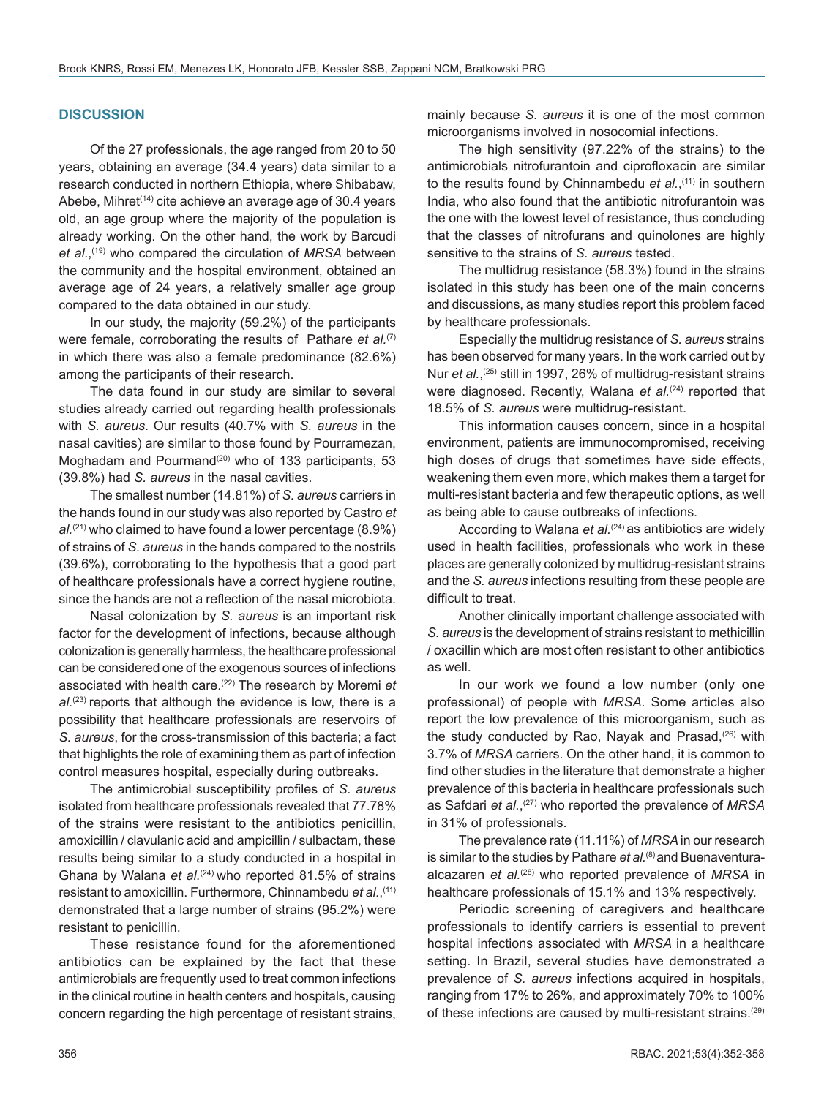#### **DISCUSSION**

Of the 27 professionals, the age ranged from 20 to 50 years, obtaining an average (34.4 years) data similar to a research conducted in northern Ethiopia, where Shibabaw, Abebe, Mihret<sup>(14)</sup> cite achieve an average age of 30.4 years old, an age group where the majority of the population is already working. On the other hand, the work by Barcudi *et al.*, (19) who compared the circulation of *MRSA* between the community and the hospital environment, obtained an average age of 24 years, a relatively smaller age group compared to the data obtained in our study.

In our study, the majority (59.2%) of the participants were female, corroborating the results of Pathare *et al.*<sup>(7)</sup> in which there was also a female predominance (82.6%) among the participants of their research.

The data found in our study are similar to several studies already carried out regarding health professionals with *S. aureus*. Our results (40.7% with *S. aureus* in the nasal cavities) are similar to those found by Pourramezan, Moghadam and Pourmand<sup> $(20)$ </sup> who of 133 participants, 53 (39.8%) had *S. aureus* in the nasal cavities.

The smallest number (14.81%) of *S. aureus* carriers in the hands found in our study was also reported by Castro *et al.*(21) who claimed to have found a lower percentage (8.9%) of strains of *S. aureus* in the hands compared to the nostrils (39.6%), corroborating to the hypothesis that a good part of healthcare professionals have a correct hygiene routine, since the hands are not a reflection of the nasal microbiota.

Nasal colonization by *S. aureus* is an important risk factor for the development of infections, because although colonization is generally harmless, the healthcare professional can be considered one of the exogenous sources of infections associated with health care.(22) The research by Moremi *et*  al.<sup>(23)</sup> reports that although the evidence is low, there is a possibility that healthcare professionals are reservoirs of *S. aureus*, for the cross-transmission of this bacteria; a fact that highlights the role of examining them as part of infection control measures hospital, especially during outbreaks.

The antimicrobial susceptibility profiles of *S. aureus* isolated from healthcare professionals revealed that 77.78% of the strains were resistant to the antibiotics penicillin, amoxicillin / clavulanic acid and ampicillin / sulbactam, these results being similar to a study conducted in a hospital in Ghana by Walana *et al.*<sup>(24)</sup> who reported 81.5% of strains resistant to amoxicillin. Furthermore, Chinnambedu *et al.*, (11) demonstrated that a large number of strains (95.2%) were resistant to penicillin.

These resistance found for the aforementioned antibiotics can be explained by the fact that these antimicrobials are frequently used to treat common infections in the clinical routine in health centers and hospitals, causing concern regarding the high percentage of resistant strains, mainly because *S. aureus* it is one of the most common microorganisms involved in nosocomial infections.

The high sensitivity (97.22% of the strains) to the antimicrobials nitrofurantoin and ciprofloxacin are similar to the results found by Chinnambedu *et al.*,<sup>(11)</sup> in southern India, who also found that the antibiotic nitrofurantoin was the one with the lowest level of resistance, thus concluding that the classes of nitrofurans and quinolones are highly sensitive to the strains of *S. aureus* tested.

The multidrug resistance (58.3%) found in the strains isolated in this study has been one of the main concerns and discussions, as many studies report this problem faced by healthcare professionals.

Especially the multidrug resistance of *S. aureus* strains has been observed for many years. In the work carried out by Nur *et al.*,<sup>(25)</sup> still in 1997, 26% of multidrug-resistant strains were diagnosed. Recently, Walana *et al.*<sup>(24)</sup> reported that 18.5% of *S. aureus* were multidrug-resistant.

This information causes concern, since in a hospital environment, patients are immunocompromised, receiving high doses of drugs that sometimes have side effects, weakening them even more, which makes them a target for multi-resistant bacteria and few therapeutic options, as well as being able to cause outbreaks of infections.

According to Walana *et al.*<sup>(24)</sup> as antibiotics are widely used in health facilities, professionals who work in these places are generally colonized by multidrug-resistant strains and the *S. aureus* infections resulting from these people are difficult to treat.

Another clinically important challenge associated with *S. aureus* is the development of strains resistant to methicillin / oxacillin which are most often resistant to other antibiotics as well.

In our work we found a low number (only one professional) of people with *MRSA*. Some articles also report the low prevalence of this microorganism, such as the study conducted by Rao, Nayak and Prasad,<sup>(26)</sup> with 3.7% of *MRSA* carriers. On the other hand, it is common to find other studies in the literature that demonstrate a higher prevalence of this bacteria in healthcare professionals such as Safdari *et al.*, (27) who reported the prevalence of *MRSA* in 31% of professionals.

The prevalence rate (11.11%) of *MRSA* in our research is similar to the studies by Pathare *et al.*<sup>(8)</sup> and Buenaventuraalcazaren *et al.*(28) who reported prevalence of *MRSA* in healthcare professionals of 15.1% and 13% respectively.

Periodic screening of caregivers and healthcare professionals to identify carriers is essential to prevent hospital infections associated with *MRSA* in a healthcare setting. In Brazil, several studies have demonstrated a prevalence of *S. aureus* infections acquired in hospitals, ranging from 17% to 26%, and approximately 70% to 100% of these infections are caused by multi-resistant strains.(29)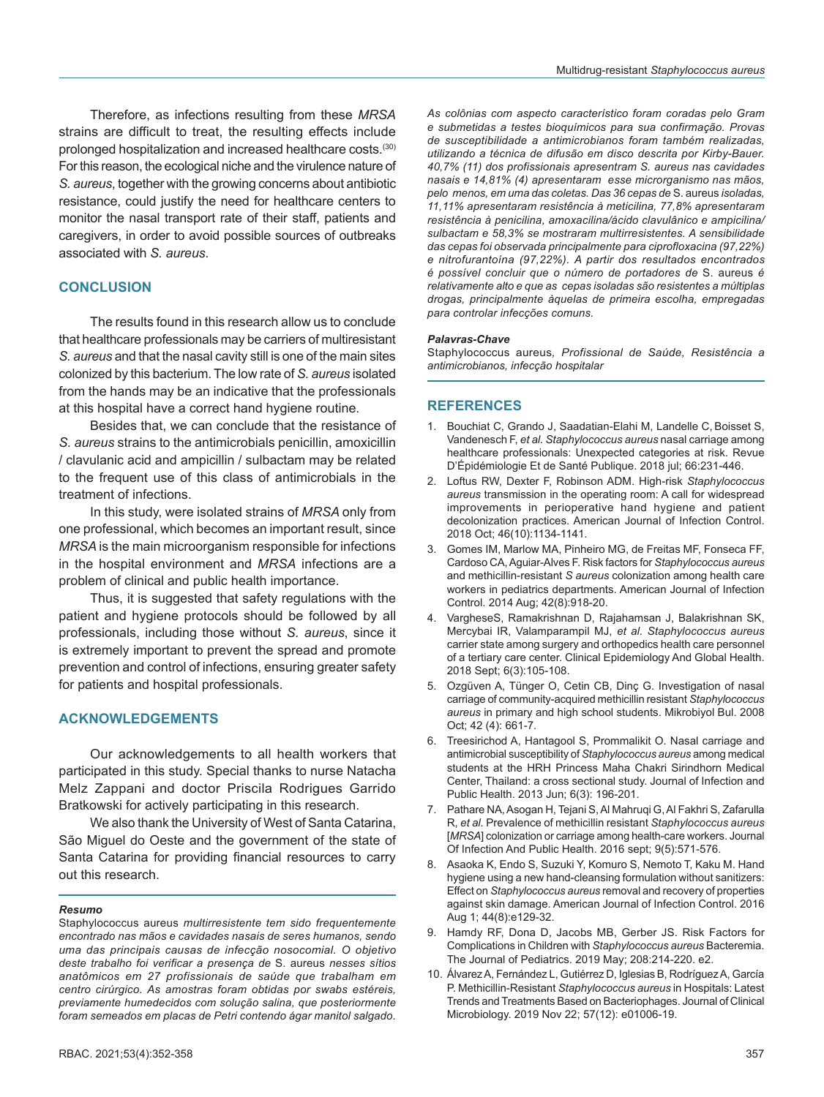Therefore, as infections resulting from these *MRSA* strains are difficult to treat, the resulting effects include prolonged hospitalization and increased healthcare costs.(30) For this reason, the ecological niche and the virulence nature of *S. aureus*, together with the growing concerns about antibiotic resistance, could justify the need for healthcare centers to monitor the nasal transport rate of their staff, patients and caregivers, in order to avoid possible sources of outbreaks associated with *S. aureus*.

#### **CONCLUSION**

The results found in this research allow us to conclude that healthcare professionals may be carriers of multiresistant *S. aureus* and that the nasal cavity still is one of the main sites colonized by this bacterium. The low rate of *S. aureus* isolated from the hands may be an indicative that the professionals at this hospital have a correct hand hygiene routine.

Besides that, we can conclude that the resistance of *S. aureus* strains to the antimicrobials penicillin, amoxicillin / clavulanic acid and ampicillin / sulbactam may be related to the frequent use of this class of antimicrobials in the treatment of infections.

In this study, were isolated strains of *MRSA* only from one professional, which becomes an important result, since *MRSA* is the main microorganism responsible for infections in the hospital environment and *MRSA* infections are a problem of clinical and public health importance.

Thus, it is suggested that safety regulations with the patient and hygiene protocols should be followed by all professionals, including those without *S. aureus*, since it is extremely important to prevent the spread and promote prevention and control of infections, ensuring greater safety for patients and hospital professionals.

#### **ACKNOWLEDGEMENTS**

Our acknowledgements to all health workers that participated in this study. Special thanks to nurse Natacha Melz Zappani and doctor Priscila Rodrigues Garrido Bratkowski for actively participating in this research.

We also thank the University of West of Santa Catarina, São Miguel do Oeste and the government of the state of Santa Catarina for providing financial resources to carry out this research.

#### *Resumo*

Staphylococcus aureus *multirresistente tem sido frequentemente encontrado nas mãos e cavidades nasais de seres humanos, sendo uma das principais causas de infecção nosocomial. O objetivo deste trabalho foi verificar a presença de* S. aureus *nesses sítios anatômicos em 27 profissionais de saúde que trabalham em centro cirúrgico. As amostras foram obtidas por swabs estéreis, previamente humedecidos com solução salina, que posteriormente foram semeados em placas de Petri contendo ágar manitol salgado.* 

*As colônias com aspecto característico foram coradas pelo Gram e submetidas a testes bioquímicos para sua confirmação. Provas de susceptibilidade a antimicrobianos foram também realizadas, utilizando a técnica de difusão em disco descrita por Kirby-Bauer. 40,7% (11) dos profissionais apresentram S. aureus nas cavidades nasais e 14,81% (4) apresentaram esse microrganismo nas mãos, pelo menos, em uma das coletas. Das 36 cepas de* S. aureus *isoladas, 11,11% apresentaram resistência à meticilina, 77,8% apresentaram resistência à penicilina, amoxacilina/ácido clavulânico e ampicilina/ sulbactam e 58,3% se mostraram multirresistentes. A sensibilidade das cepas foi observada principalmente para ciprofloxacina (97,22%) e nitrofurantoína (97,22%). A partir dos resultados encontrados é possível concluir que o número de portadores de* S. aureus *é relativamente alto e que as cepas isoladas são resistentes a múltiplas drogas, principalmente àquelas de primeira escolha, empregadas para controlar infecções comuns.*

#### *Palavras-Chave*

Staphylococcus aureus*, Profissional de Saúde, Resistência a antimicrobianos, infecção hospitalar*

#### **REFERENCES**

- 1. Bouchiat C, Grando J, Saadatian-Elahi M, Landelle C, Boisset S, Vandenesch F, *et al. Staphylococcus aureus* nasal carriage among healthcare professionals: Unexpected categories at risk. Revue D'Épidémiologie Et de Santé Publique. 2018 jul; 66:231-446.
- 2. Loftus RW, Dexter F, Robinson ADM. High-risk *Staphylococcus aureus* transmission in the operating room: A call for widespread improvements in perioperative hand hygiene and patient decolonization practices. American Journal of Infection Control. 2018 Oct; 46(10):1134-1141.
- 3. Gomes IM, Marlow MA, Pinheiro MG, de Freitas MF, Fonseca FF, Cardoso CA, Aguiar-Alves F. Risk factors for *Staphylococcus aureus* and methicillin-resistant *S aureus* colonization among health care workers in pediatrics departments. American Journal of Infection Control. 2014 Aug; 42(8):918-20.
- 4. VargheseS, Ramakrishnan D, Rajahamsan J, Balakrishnan SK, Mercybai IR, Valamparampil MJ, *et al. Staphylococcus aureus* carrier state among surgery and orthopedics health care personnel of a tertiary care center. Clinical Epidemiology And Global Health. 2018 Sept; 6(3):105-108.
- 5. Ozgüven A, Tünger O, Cetin CB, Dinç G. Investigation of nasal carriage of community-acquired methicillin resistant *Staphylococcus aureus* in primary and high school students. Mikrobiyol Bul. 2008 Oct; 42 (4): 661-7.
- 6. Treesirichod A, Hantagool S, Prommalikit O. Nasal carriage and antimicrobial susceptibility of *Staphylococcus aureus* among medical students at the HRH Princess Maha Chakri Sirindhorn Medical Center, Thailand: a cross sectional study. Journal of Infection and Public Health. 2013 Jun; 6(3): 196-201.
- 7. Pathare NA, Asogan H, Tejani S, Al Mahruqi G, Al Fakhri S, Zafarulla R, *et al.* Prevalence of methicillin resistant *Staphylococcus aureus* [*MRSA*] colonization or carriage among health-care workers. Journal Of Infection And Public Health. 2016 sept; 9(5):571-576.
- 8. Asaoka K, Endo S, Suzuki Y, Komuro S, Nemoto T, Kaku M. Hand hygiene using a new hand-cleansing formulation without sanitizers: Effect on *Staphylococcus aureus* removal and recovery of properties against skin damage. American Journal of Infection Control. 2016 Aug 1; 44(8):e129-32.
- 9. Hamdy RF, Dona D, Jacobs MB, Gerber JS. Risk Factors for Complications in Children with *Staphylococcus aureus* Bacteremia. The Journal of Pediatrics. 2019 May; 208:214-220. e2.
- 10. Álvarez A, Fernández L, Gutiérrez D, Iglesias B, Rodríguez A, García P. Methicillin-Resistant *Staphylococcus aureus* in Hospitals: Latest Trends and Treatments Based on Bacteriophages. Journal of Clinical Microbiology. 2019 Nov 22; 57(12): e01006-19.